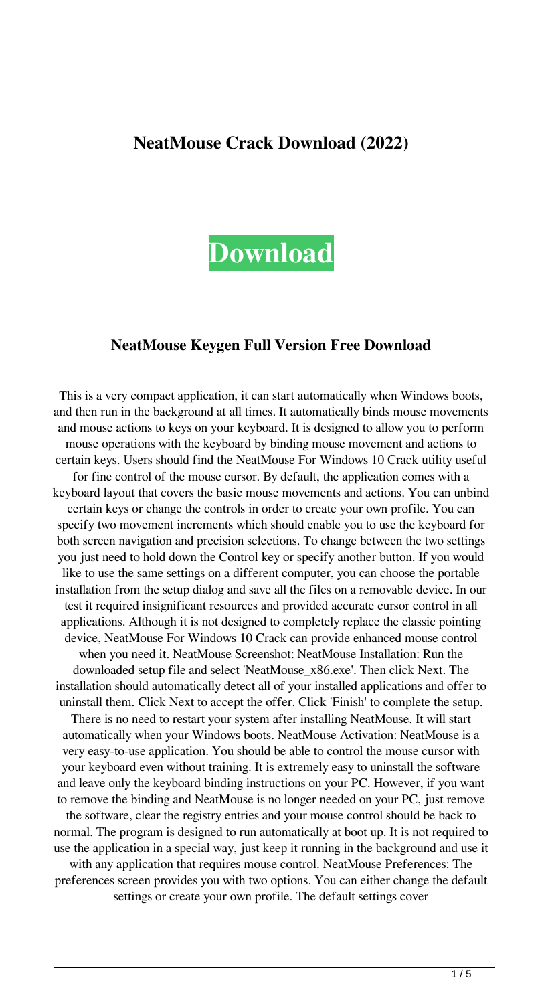# **NeatMouse Crack Download (2022)**



#### **NeatMouse Keygen Full Version Free Download**

This is a very compact application, it can start automatically when Windows boots, and then run in the background at all times. It automatically binds mouse movements and mouse actions to keys on your keyboard. It is designed to allow you to perform mouse operations with the keyboard by binding mouse movement and actions to certain keys. Users should find the NeatMouse For Windows 10 Crack utility useful for fine control of the mouse cursor. By default, the application comes with a keyboard layout that covers the basic mouse movements and actions. You can unbind certain keys or change the controls in order to create your own profile. You can specify two movement increments which should enable you to use the keyboard for both screen navigation and precision selections. To change between the two settings you just need to hold down the Control key or specify another button. If you would like to use the same settings on a different computer, you can choose the portable installation from the setup dialog and save all the files on a removable device. In our test it required insignificant resources and provided accurate cursor control in all applications. Although it is not designed to completely replace the classic pointing device, NeatMouse For Windows 10 Crack can provide enhanced mouse control when you need it. NeatMouse Screenshot: NeatMouse Installation: Run the downloaded setup file and select 'NeatMouse\_x86.exe'. Then click Next. The installation should automatically detect all of your installed applications and offer to uninstall them. Click Next to accept the offer. Click 'Finish' to complete the setup. There is no need to restart your system after installing NeatMouse. It will start automatically when your Windows boots. NeatMouse Activation: NeatMouse is a very easy-to-use application. You should be able to control the mouse cursor with your keyboard even without training. It is extremely easy to uninstall the software and leave only the keyboard binding instructions on your PC. However, if you want to remove the binding and NeatMouse is no longer needed on your PC, just remove the software, clear the registry entries and your mouse control should be back to normal. The program is designed to run automatically at boot up. It is not required to use the application in a special way, just keep it running in the background and use it with any application that requires mouse control. NeatMouse Preferences: The preferences screen provides you with two options. You can either change the default settings or create your own profile. The default settings cover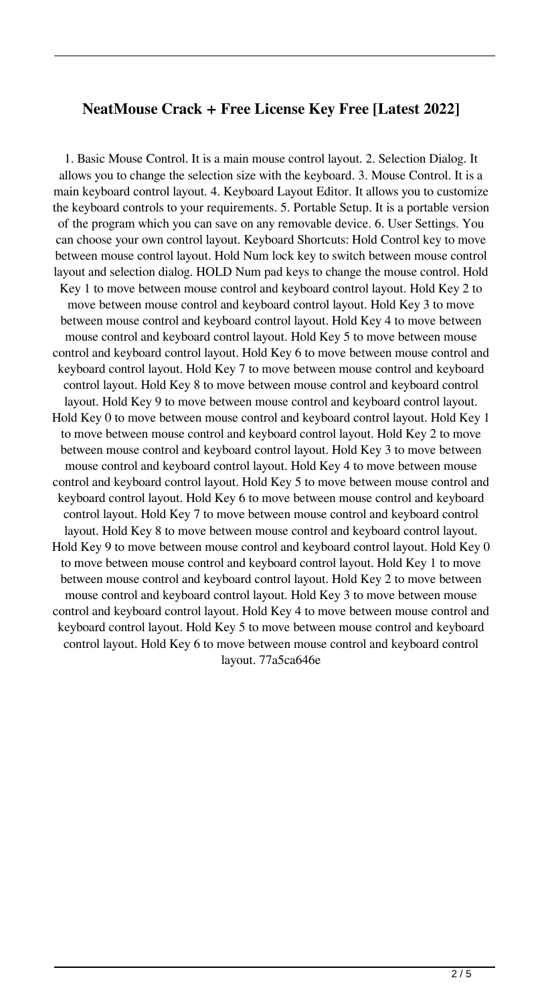### **NeatMouse Crack + Free License Key Free [Latest 2022]**

1. Basic Mouse Control. It is a main mouse control layout. 2. Selection Dialog. It allows you to change the selection size with the keyboard. 3. Mouse Control. It is a main keyboard control layout. 4. Keyboard Layout Editor. It allows you to customize the keyboard controls to your requirements. 5. Portable Setup. It is a portable version of the program which you can save on any removable device. 6. User Settings. You can choose your own control layout. Keyboard Shortcuts: Hold Control key to move between mouse control layout. Hold Num lock key to switch between mouse control layout and selection dialog. HOLD Num pad keys to change the mouse control. Hold Key 1 to move between mouse control and keyboard control layout. Hold Key 2 to move between mouse control and keyboard control layout. Hold Key 3 to move between mouse control and keyboard control layout. Hold Key 4 to move between mouse control and keyboard control layout. Hold Key 5 to move between mouse control and keyboard control layout. Hold Key 6 to move between mouse control and keyboard control layout. Hold Key 7 to move between mouse control and keyboard control layout. Hold Key 8 to move between mouse control and keyboard control layout. Hold Key 9 to move between mouse control and keyboard control layout. Hold Key 0 to move between mouse control and keyboard control layout. Hold Key 1 to move between mouse control and keyboard control layout. Hold Key 2 to move between mouse control and keyboard control layout. Hold Key 3 to move between mouse control and keyboard control layout. Hold Key 4 to move between mouse control and keyboard control layout. Hold Key 5 to move between mouse control and keyboard control layout. Hold Key 6 to move between mouse control and keyboard control layout. Hold Key 7 to move between mouse control and keyboard control layout. Hold Key 8 to move between mouse control and keyboard control layout. Hold Key 9 to move between mouse control and keyboard control layout. Hold Key 0 to move between mouse control and keyboard control layout. Hold Key 1 to move between mouse control and keyboard control layout. Hold Key 2 to move between mouse control and keyboard control layout. Hold Key 3 to move between mouse control and keyboard control layout. Hold Key 4 to move between mouse control and keyboard control layout. Hold Key 5 to move between mouse control and keyboard control layout. Hold Key 6 to move between mouse control and keyboard control layout. 77a5ca646e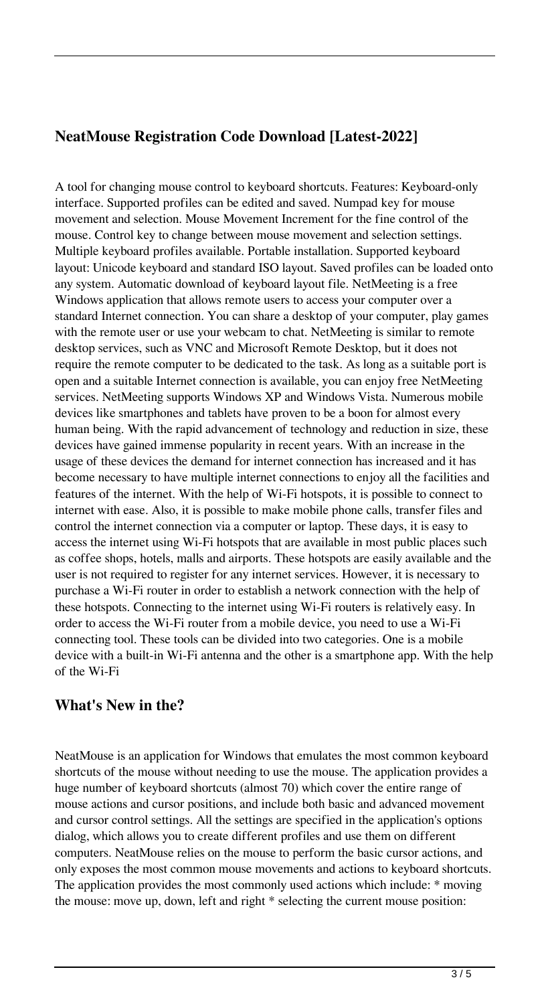## **NeatMouse Registration Code Download [Latest-2022]**

A tool for changing mouse control to keyboard shortcuts. Features: Keyboard-only interface. Supported profiles can be edited and saved. Numpad key for mouse movement and selection. Mouse Movement Increment for the fine control of the mouse. Control key to change between mouse movement and selection settings. Multiple keyboard profiles available. Portable installation. Supported keyboard layout: Unicode keyboard and standard ISO layout. Saved profiles can be loaded onto any system. Automatic download of keyboard layout file. NetMeeting is a free Windows application that allows remote users to access your computer over a standard Internet connection. You can share a desktop of your computer, play games with the remote user or use your webcam to chat. NetMeeting is similar to remote desktop services, such as VNC and Microsoft Remote Desktop, but it does not require the remote computer to be dedicated to the task. As long as a suitable port is open and a suitable Internet connection is available, you can enjoy free NetMeeting services. NetMeeting supports Windows XP and Windows Vista. Numerous mobile devices like smartphones and tablets have proven to be a boon for almost every human being. With the rapid advancement of technology and reduction in size, these devices have gained immense popularity in recent years. With an increase in the usage of these devices the demand for internet connection has increased and it has become necessary to have multiple internet connections to enjoy all the facilities and features of the internet. With the help of Wi-Fi hotspots, it is possible to connect to internet with ease. Also, it is possible to make mobile phone calls, transfer files and control the internet connection via a computer or laptop. These days, it is easy to access the internet using Wi-Fi hotspots that are available in most public places such as coffee shops, hotels, malls and airports. These hotspots are easily available and the user is not required to register for any internet services. However, it is necessary to purchase a Wi-Fi router in order to establish a network connection with the help of these hotspots. Connecting to the internet using Wi-Fi routers is relatively easy. In order to access the Wi-Fi router from a mobile device, you need to use a Wi-Fi connecting tool. These tools can be divided into two categories. One is a mobile device with a built-in Wi-Fi antenna and the other is a smartphone app. With the help of the Wi-Fi

### **What's New in the?**

NeatMouse is an application for Windows that emulates the most common keyboard shortcuts of the mouse without needing to use the mouse. The application provides a huge number of keyboard shortcuts (almost 70) which cover the entire range of mouse actions and cursor positions, and include both basic and advanced movement and cursor control settings. All the settings are specified in the application's options dialog, which allows you to create different profiles and use them on different computers. NeatMouse relies on the mouse to perform the basic cursor actions, and only exposes the most common mouse movements and actions to keyboard shortcuts. The application provides the most commonly used actions which include: \* moving the mouse: move up, down, left and right \* selecting the current mouse position: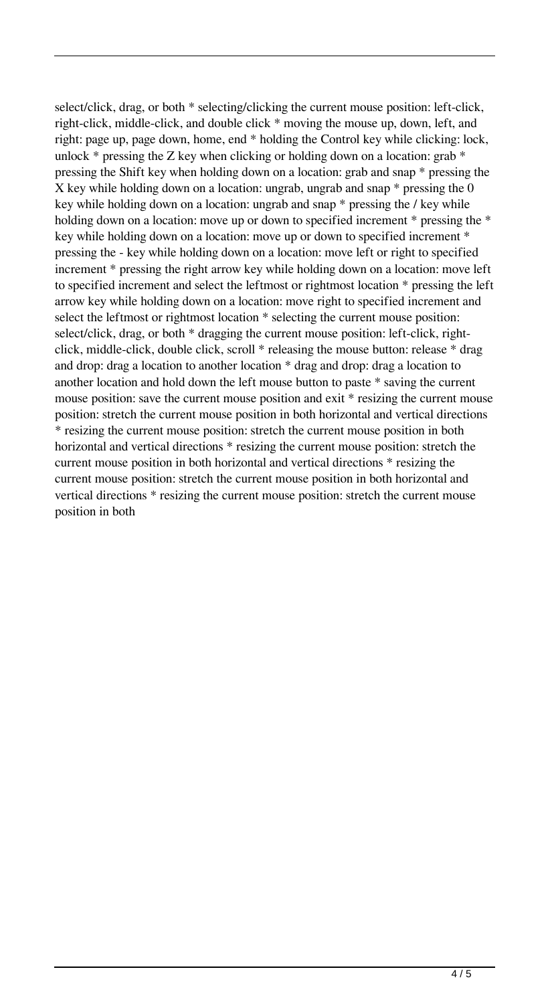select/click, drag, or both \* selecting/clicking the current mouse position: left-click, right-click, middle-click, and double click \* moving the mouse up, down, left, and right: page up, page down, home, end \* holding the Control key while clicking: lock, unlock  $*$  pressing the Z key when clicking or holding down on a location: grab  $*$ pressing the Shift key when holding down on a location: grab and snap \* pressing the X key while holding down on a location: ungrab, ungrab and snap  $*$  pressing the 0 key while holding down on a location: ungrab and snap \* pressing the / key while holding down on a location: move up or down to specified increment \* pressing the \* key while holding down on a location: move up or down to specified increment \* pressing the - key while holding down on a location: move left or right to specified increment \* pressing the right arrow key while holding down on a location: move left to specified increment and select the leftmost or rightmost location \* pressing the left arrow key while holding down on a location: move right to specified increment and select the leftmost or rightmost location \* selecting the current mouse position: select/click, drag, or both \* dragging the current mouse position: left-click, rightclick, middle-click, double click, scroll \* releasing the mouse button: release \* drag and drop: drag a location to another location \* drag and drop: drag a location to another location and hold down the left mouse button to paste \* saving the current mouse position: save the current mouse position and exit \* resizing the current mouse position: stretch the current mouse position in both horizontal and vertical directions \* resizing the current mouse position: stretch the current mouse position in both horizontal and vertical directions \* resizing the current mouse position: stretch the current mouse position in both horizontal and vertical directions \* resizing the current mouse position: stretch the current mouse position in both horizontal and vertical directions \* resizing the current mouse position: stretch the current mouse position in both